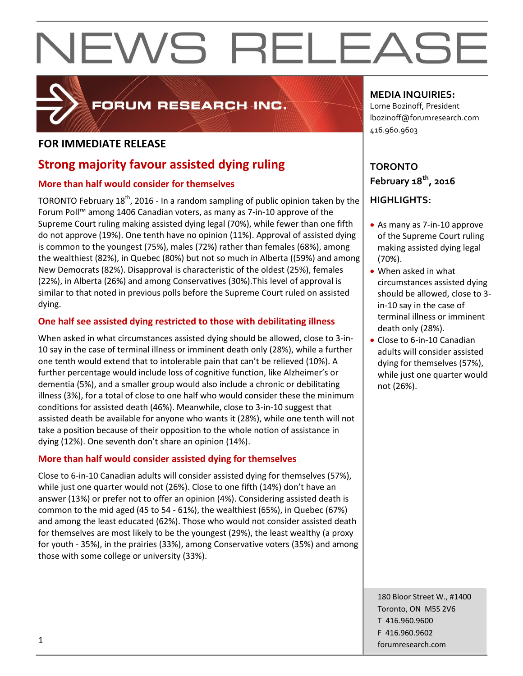

### FORUM RESEARCH INC.

#### **FOR IMMEDIATE RELEASE**

#### **Strong majority favour assisted dying ruling**

#### **More than half would consider for themselves**

TORONTO February 18<sup>th</sup>, 2016 - In a random sampling of public opinion taken by the Forum Poll™ among 1406 Canadian voters, as many as 7-in-10 approve of the Supreme Court ruling making assisted dying legal (70%), while fewer than one fifth do not approve (19%). One tenth have no opinion (11%). Approval of assisted dying is common to the youngest (75%), males (72%) rather than females (68%), among the wealthiest (82%), in Quebec (80%) but not so much in Alberta ((59%) and among New Democrats (82%). Disapproval is characteristic of the oldest (25%), females (22%), in Alberta (26%) and among Conservatives (30%).This level of approval is similar to that noted in previous polls before the Supreme Court ruled on assisted dying.

#### **One half see assisted dying restricted to those with debilitating illness**

When asked in what circumstances assisted dying should be allowed, close to 3-in-10 say in the case of terminal illness or imminent death only (28%), while a further one tenth would extend that to intolerable pain that can't be relieved (10%). A further percentage would include loss of cognitive function, like Alzheimer's or dementia (5%), and a smaller group would also include a chronic or debilitating illness (3%), for a total of close to one half who would consider these the minimum conditions for assisted death (46%). Meanwhile, close to 3-in-10 suggest that assisted death be available for anyone who wants it (28%), while one tenth will not take a position because of their opposition to the whole notion of assistance in dying (12%). One seventh don't share an opinion (14%).

#### **More than half would consider assisted dying for themselves**

Close to 6-in-10 Canadian adults will consider assisted dying for themselves (57%), while just one quarter would not (26%). Close to one fifth (14%) don't have an answer (13%) or prefer not to offer an opinion (4%). Considering assisted death is common to the mid aged (45 to 54 - 61%), the wealthiest (65%), in Quebec (67%) and among the least educated (62%). Those who would not consider assisted death for themselves are most likely to be the youngest (29%), the least wealthy (a proxy for youth - 35%), in the prairies (33%), among Conservative voters (35%) and among those with some college or university (33%).

#### **MEDIA INQUIRIES:**

Lorne Bozinoff, President lbozinoff@forumresearch.com 416.960.9603

#### **TORONTO February 18th, 2016**

#### **HIGHLIGHTS:**

- As many as 7-in-10 approve of the Supreme Court ruling making assisted dying legal (70%).
- When asked in what circumstances assisted dying should be allowed, close to 3 in-10 say in the case of terminal illness or imminent death only (28%).
- Close to 6-in-10 Canadian adults will consider assisted dying for themselves (57%), while just one quarter would not (26%).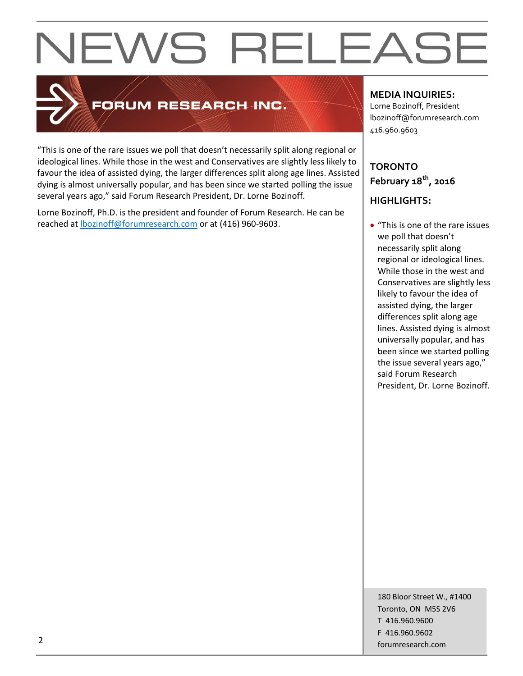

#### FORUM RESEARCH INC.

"This is one of the rare issues we poll that doesn't necessarily split along regional or ideological lines. While those in the west and Conservatives are slightly less likely to favour the idea of assisted dying, the larger differences split along age lines. Assisted dying is almost universally popular, and has been since we started polling the issue several years ago," said Forum Research President, Dr. Lorne Bozinoff.

Lorne Bozinoff, Ph.D. is the president and founder of Forum Research. He can be reached at [lbozinoff@forumresearch.com](mailto:lbozinoff@forumresearch.com) or at (416) 960-9603.

#### **MEDIA INQUIRIES:**

Lorne Bozinoff, President lbozinoff@forumresearch.com 416.960.9603

#### **TORONTO February 18th, 2016**

#### **HIGHLIGHTS:**

• "This is one of the rare issues we poll that doesn't necessarily split along regional or ideological lines. While those in the west and Conservatives are slightly less likely to favour the idea of assisted dying, the larger differences split along age lines. Assisted dying is almost universally popular, and has been since we started polling the issue several years ago," said Forum Research President, Dr. Lorne Bozinoff.

180 Bloor Street W., #1400 Toronto, ON M5S 2V6 T 416.960.9600 F 416.960.9602 example to the contract of the contract of the contract of the contract of the contract of the contract of the contract of the contract of the contract of the contract of the contract of the contract of the contract of the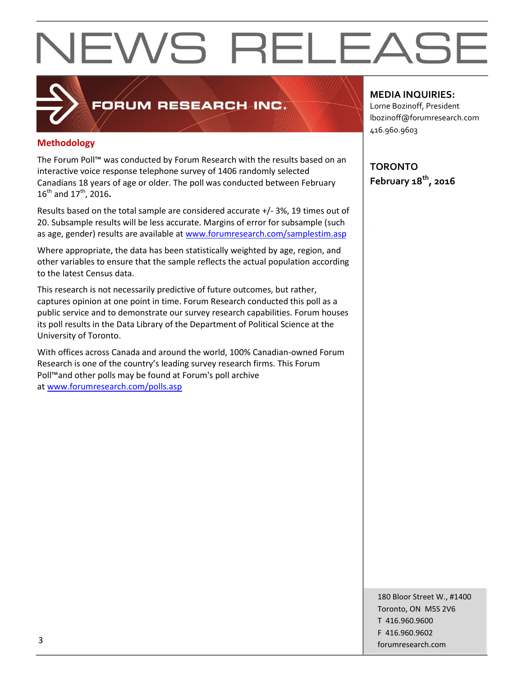#### **Methodology**

The Forum Poll™ was conducted by Forum Research with the results based on an interactive voice response telephone survey of 1406 randomly selected Canadians 18 years of age or older. The poll was conducted between February 16th and 17th, 2016**.**

FORUM RESEARCH INC.

Results based on the total sample are considered accurate +/- 3%, 19 times out of 20. Subsample results will be less accurate. Margins of error for subsample (such as age, gender) results are available at [www.forumresearch.com/samplestim.asp](http://www.forumresearch.com/samplestim.asp)

Where appropriate, the data has been statistically weighted by age, region, and other variables to ensure that the sample reflects the actual population according to the latest Census data.

This research is not necessarily predictive of future outcomes, but rather, captures opinion at one point in time. Forum Research conducted this poll as a public service and to demonstrate our survey research capabilities. Forum houses its poll results in the Data Library of the Department of Political Science at the University of Toronto.

With offices across Canada and around the world, 100% Canadian-owned Forum Research is one of the country's leading survey research firms. This Forum Poll™and other polls may be found at Forum's poll archive at [www.forumresearch.com/polls.asp](http://www.forumresearch.com/polls.asp)

#### **MEDIA INQUIRIES:**

Lorne Bozinoff, President lbozinoff@forumresearch.com 416.960.9603

**TORONTO February 18th, 2016**

180 Bloor Street W., #1400 Toronto, ON M5S 2V6 T 416.960.9600 F 416.960.9602 forumresearch.com and the set of the set of the set of the set of the set of the set of the set of the set of the set of the set of the set of the set of the set of the set of the set of the set of the set of the set of th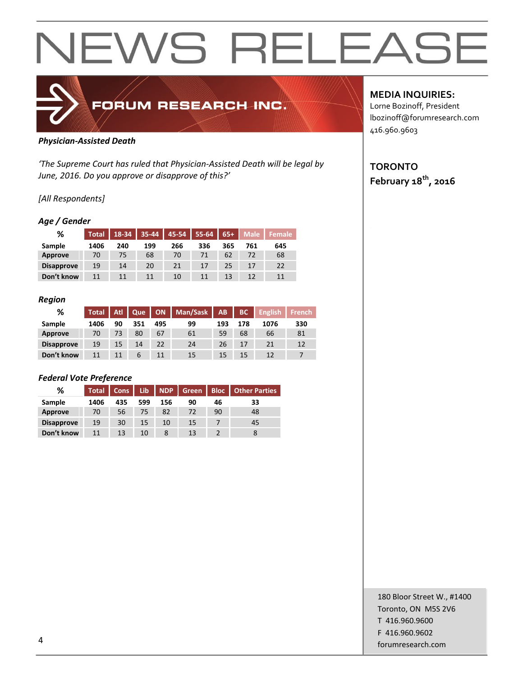

#### *Physician-Assisted Death*

*'The Supreme Court has ruled that Physician-Assisted Death will be legal by June, 2016. Do you approve or disapprove of this?'*

#### *[All Respondents]*

#### *Age / Gender*

| %                 | <b>Total</b> | 18-34 | 35-44 | 45-54 | 55-64 | $65+$ | <b>Male</b> | <b>Female</b> |
|-------------------|--------------|-------|-------|-------|-------|-------|-------------|---------------|
| Sample            | 1406         | 240   | 199   | 266   | 336   | 365   | 761         | 645           |
| <b>Approve</b>    | 70           | 75    | 68    | 70    | 71    | 62    | 72          | 68            |
| <b>Disapprove</b> | 19           | 14    | 20    | 21    | 17    | 25    |             | 22            |
| Don't know        | 11           | 11    | 11    | 10    | 11    | 13    | 12          | 11            |

#### *Region*

| %                 | <b>Total</b> | <b>Atl</b> | Que |     | ON   Man/Sask | AB  | BC  | <b>English</b> | French |
|-------------------|--------------|------------|-----|-----|---------------|-----|-----|----------------|--------|
| Sample            | 1406         | 90         | 351 | 495 | 99            | 193 | 178 | 1076           | 330    |
| Approve           | 70           | 73         | 80  | 67  | 61            | 59  | 68  | 66             | 81     |
| <b>Disapprove</b> | 19           | 15         | 14  | 22  | 24            | 26  | 17  | 21             | 12     |
| Don't know        | 11           | 11         | 6   |     | 15            | 15  | 15  | 12             |        |

#### *Federal Vote Preference*

| %                 | <b>Total</b> | <b>Cons</b> | Lib | <b>NDP</b> | Green | <b>Bloc</b> | <b>Other Parties</b> |
|-------------------|--------------|-------------|-----|------------|-------|-------------|----------------------|
| Sample            | 1406         | 435         | 599 | 156        | 90    | 46          | 33                   |
| Approve           | 70           | 56          | 75  | 82         | 72    | 90          | 48                   |
| <b>Disapprove</b> | 19           | 30          | 15  | 10         | 15    |             | 45                   |
| Don't know        | 11           | 13          | 10  |            | 13    |             |                      |

#### **MEDIA INQUIRIES:**

Lorne Bozinoff, President lbozinoff@forumresearch.com 416.960.9603

#### **TORONTO February 18th, 2016**

180 Bloor Street W., #1400 Toronto, ON M5S 2V6 T 416.960.9600 F 416.960.9602 example to the contract of the contract of the contract of the contract of the contract of the contract of the contract of the contract of the contract of the contract of the contract of the contract of the contract of the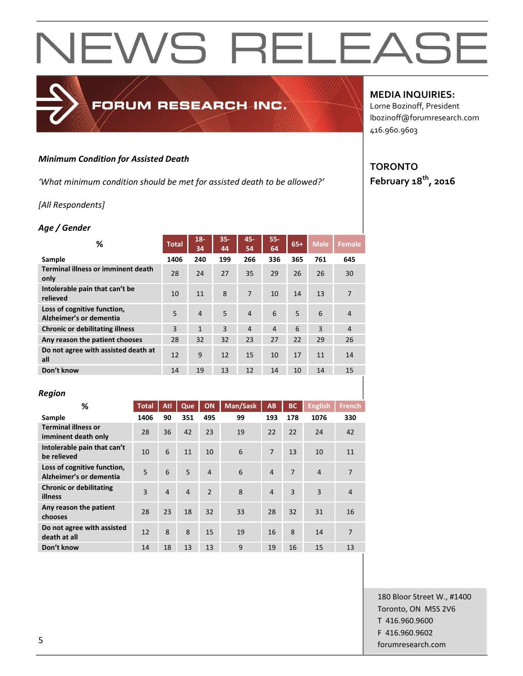#### *Minimum Condition for Assisted Death*

*'What minimum condition should be met for assisted death to be allowed?'*

FORUM RESEARCH INC.

#### *[All Respondents]*

#### *Age / Gender*

| ℅                                                      | <b>Total</b> | $18 -$<br>34   | $35 -$<br>44 | $45 -$<br>54   | $55 -$<br>64   | $65+$ | <b>Male</b> | <b>Female</b>  |
|--------------------------------------------------------|--------------|----------------|--------------|----------------|----------------|-------|-------------|----------------|
| Sample                                                 | 1406         | 240            | 199          | 266            | 336            | 365   | 761         | 645            |
| <b>Terminal illness or imminent death</b><br>only      | 28           | 24             | 27           | 35             | 29             | 26    | 26          | 30             |
| Intolerable pain that can't be<br>relieved             | 10           | 11             | 8            | 7              | 10             | 14    | 13          | 7              |
| Loss of cognitive function,<br>Alzheimer's or dementia | 5            | $\overline{4}$ | 5            | $\overline{4}$ | 6              | 5     | 6           | $\overline{4}$ |
| <b>Chronic or debilitating illness</b>                 | 3            | $\mathbf{1}$   | 3            | $\overline{4}$ | $\overline{4}$ | 6     | 3           | $\overline{4}$ |
| Any reason the patient chooses                         | 28           | 32             | 32           | 23             | 27             | 22    | 29          | 26             |
| Do not agree with assisted death at<br>all             | 12           | 9              | 12           | 15             | 10             | 17    | 11          | 14             |
| Don't know                                             | 14           | 19             | 13           | 12             | 14             | 10    | 14          | 15             |

#### *Region*

| %                                                      | <b>Total</b> | Atl            | Que            | ON             | Man/Sask | AB             | <b>BC</b>      | <b>English</b> | <b>French</b>  |
|--------------------------------------------------------|--------------|----------------|----------------|----------------|----------|----------------|----------------|----------------|----------------|
| Sample                                                 | 1406         | 90             | 351            | 495            | 99       | 193            | 178            | 1076           | 330            |
| <b>Terminal illness or</b><br>imminent death only      | 28           | 36             | 42             | 23             | 19       | 22             | 22             | 24             | 42             |
| Intolerable pain that can't<br>be relieved             | 10           | 6              | 11             | 10             | 6        | $\overline{7}$ | 13             | 10             | 11             |
| Loss of cognitive function,<br>Alzheimer's or dementia | 5            | 6              | 5              | $\overline{4}$ | 6        | $\overline{4}$ | $\overline{7}$ | $\overline{4}$ | $\overline{7}$ |
| <b>Chronic or debilitating</b><br>illness              | 3            | $\overline{4}$ | $\overline{4}$ | $\mathfrak{p}$ | 8        | $\overline{4}$ | 3              | 3              | $\overline{4}$ |
| Any reason the patient<br>chooses                      | 28           | 23             | 18             | 32             | 33       | 28             | 32             | 31             | 16             |
| Do not agree with assisted<br>death at all             | 12           | 8              | 8              | 15             | 19       | 16             | 8              | 14             | 7              |
| Don't know                                             | 14           | 18             | 13             | 13             | 9        | 19             | 16             | 15             | 13             |

#### **MEDIA INQUIRIES:**

Lorne Bozinoff, President lbozinoff@forumresearch.com 416.960.9603

#### **TORONTO February 18th, 2016**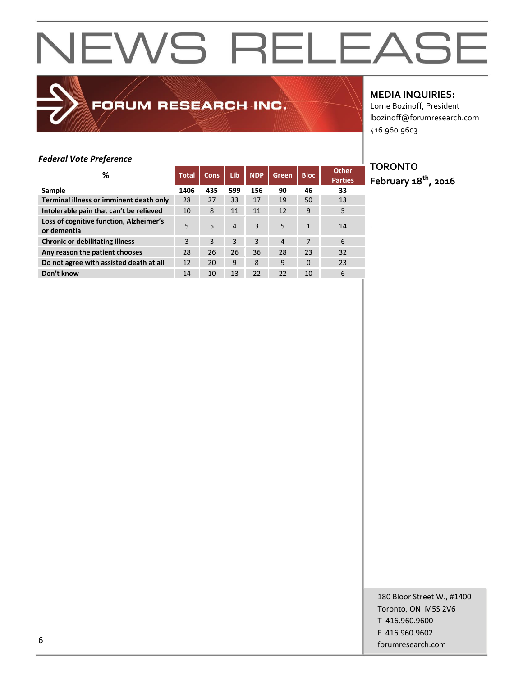FORUM RESEARCH INC.

#### **MEDIA INQUIRIES:**

Lorne Bozinoff, President lbozinoff@forumresearch.com 416.960.9603

#### *Federal Vote Preference*

| %                                                      | <b>Total</b> | <b>Cons</b> | Lib | <b>NDP</b> | <b>Green</b>   | <b>Bloc</b> | <b>Other</b><br><b>Parties</b> |
|--------------------------------------------------------|--------------|-------------|-----|------------|----------------|-------------|--------------------------------|
| Sample                                                 | 1406         | 435         | 599 | 156        | 90             | 46          | 33                             |
| Terminal illness or imminent death only                | 28           | 27          | 33  | 17         | 19             | 50          | 13                             |
| Intolerable pain that can't be relieved                | 10           | 8           | 11  | 11         | 12             | 9           | 5                              |
| Loss of cognitive function, Alzheimer's<br>or dementia | 5            | 5           | 4   | 3          | 5              | 1           | 14                             |
| <b>Chronic or debilitating illness</b>                 | 3            | 3           | 3   | 3          | $\overline{4}$ | 7           | 6                              |
| Any reason the patient chooses                         | 28           | 26          | 26  | 36         | 28             | 23          | 32                             |
| Do not agree with assisted death at all                | 12           | 20          | 9   | 8          | 9              | $\Omega$    | 23                             |
| Don't know                                             | 14           | 10          | 13  | 22         | 22             | 10          | 6                              |

**TORONTO February 18th, 2016**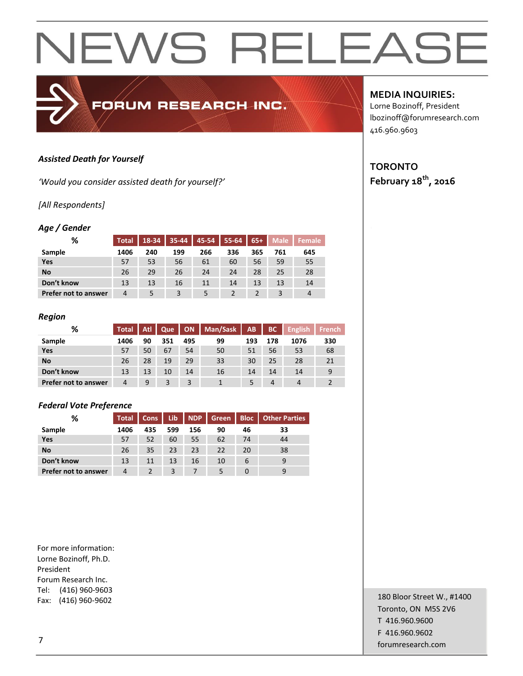#### *Assisted Death for Yourself*

*'Would you consider assisted death for yourself?'*

#### *[All Respondents]*

#### *Age / Gender*

| %                           | <b>Total</b> | 18-34 | $35 - 44$ | 45-54 | $55 - 64$ | $65+$ | <b>Male</b> | <b>Female</b> |
|-----------------------------|--------------|-------|-----------|-------|-----------|-------|-------------|---------------|
| Sample                      | 1406         | 240   | 199       | 266   | 336       | 365   | 761         | 645           |
| Yes                         | 57           | 53    | 56        | 61    | 60        | 56    | 59          | 55            |
| <b>No</b>                   | 26           | 29    | 26        | 24    | 24        | 28    | 25          | 28            |
| Don't know                  | 13           | 13    | 16        | 11    | 14        | 13    | 13          | 14            |
| <b>Prefer not to answer</b> | 4            |       |           |       |           |       |             | 4             |

FORUM RESEARCH INC.

#### *Region*

| %                    | <b>Total</b> | Atl | Que | ON  | Man/Sask | AB  | <b>BC</b>      | <b>English</b> | <b>French</b> |
|----------------------|--------------|-----|-----|-----|----------|-----|----------------|----------------|---------------|
| Sample               | 1406         | 90  | 351 | 495 | 99       | 193 | 178            | 1076           | 330           |
| Yes                  | 57           | 50  | 67  | 54  | 50       | 51  | 56             | 53             | 68            |
| <b>No</b>            | 26           | 28  | 19  | 29  | 33       | 30  | 25             | 28             | 21            |
| Don't know           | 13           | 13  | 10  | 14  | 16       | 14  | 14             | 14             | 9             |
| Prefer not to answer | 4            | 9   |     | 3   |          |     | $\overline{4}$ | $\overline{4}$ |               |

#### *Federal Vote Preference*

| %                    | <b>Total</b> | Cons | Lib | <b>NDP</b> | Green | <b>Bloc</b> | <b>Other Parties</b> |
|----------------------|--------------|------|-----|------------|-------|-------------|----------------------|
| Sample               | 1406         | 435  | 599 | 156        | 90    | 46          | 33                   |
| Yes                  | 57           | 52   | 60  | 55         | 62    | 74          | 44                   |
| <b>No</b>            | 26           | 35   | 23  | 23         | 22    | 20          | 38                   |
| Don't know           | 13           | 11   | 13  | 16         | 10    | 6           |                      |
| Prefer not to answer | 4            |      | 3   |            | 5     |             |                      |

For more information: Lorne Bozinoff, Ph.D. President Forum Research Inc. Tel: (416) 960-9603 Fax: (416) 960-9602

#### **MEDIA INQUIRIES:**

Lorne Bozinoff, President lbozinoff@forumresearch.com 416.960.9603

#### **TORONTO February 18th, 2016**